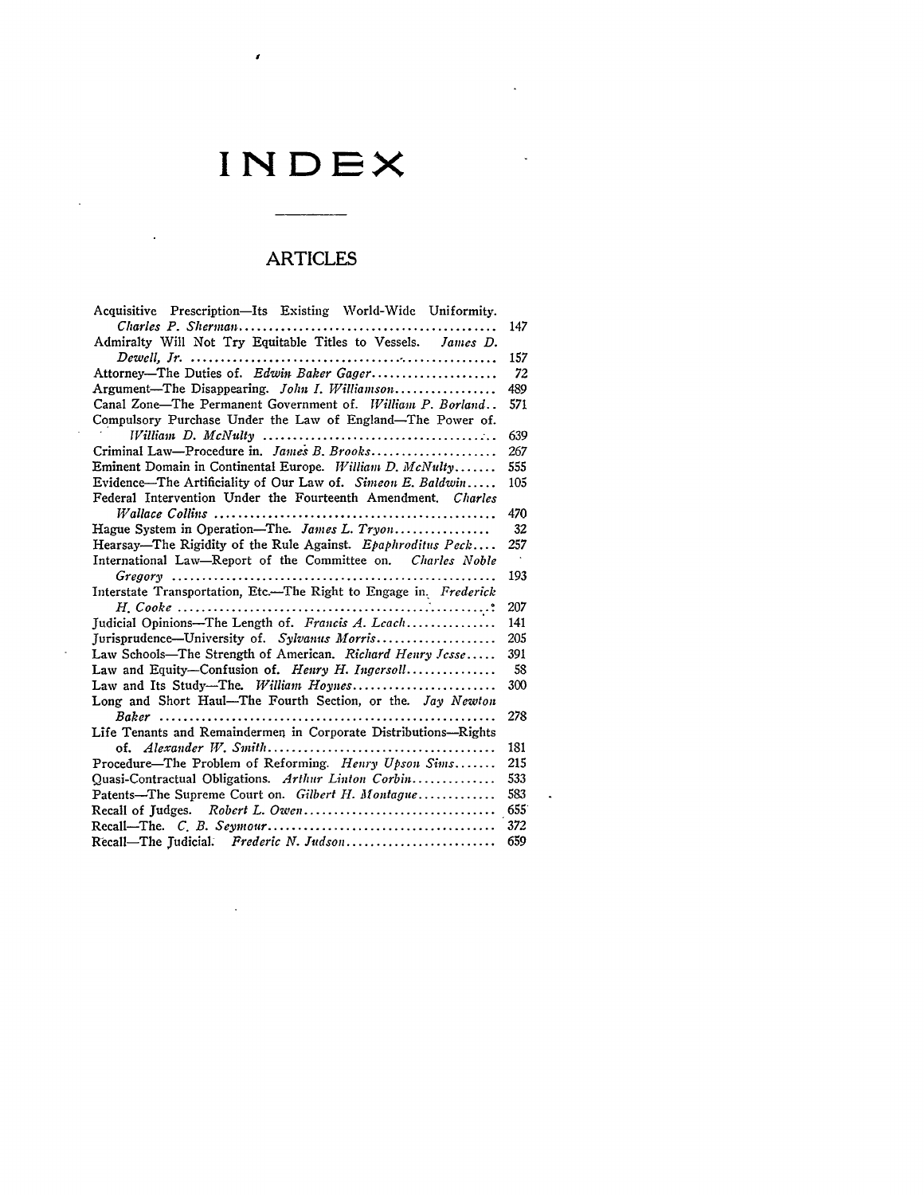## **INDEX**

 $\bar{\mathbf{v}}$ 

ù.

 $\ddot{\phantom{0}}$ 

 $\pmb{\mathcal{E}}$ 

 $\bar{\mathcal{A}}$ 

 $\sim$ 

 $\bar{z}$ 

 $\sim 10^{-11}$ 

## ARTICLES

| Acquisitive Prescription-Its Existing World-Wide Uniformity.                                                       |     |
|--------------------------------------------------------------------------------------------------------------------|-----|
|                                                                                                                    | 147 |
| Admiralty Will Not Try Equitable Titles to Vessels. James D.                                                       |     |
|                                                                                                                    | 157 |
| Attorney-The Duties of. Edwin Baker Gager                                                                          | 72  |
| Argument-The Disappearing. John I. Williamson                                                                      | 489 |
| Canal Zone—The Permanent Government of. William P. Borland                                                         | 571 |
| Compulsory Purchase Under the Law of England-The Power of.                                                         |     |
|                                                                                                                    | 639 |
| Criminal Law-Procedure in. James B. Brooks                                                                         | 267 |
| Eminent Domain in Continental Europe. William D. McNulty                                                           | 555 |
| Evidence—The Artificiality of Our Law of. Simeon E. Baldwin                                                        | 105 |
| Federal Intervention Under the Fourteenth Amendment. Charles                                                       |     |
|                                                                                                                    | 470 |
| Hague System in Operation-The. James L. Tryon                                                                      | 32  |
| Hearsay—The Rigidity of the Rule Against. Epaphroditus Peck                                                        | 257 |
| International Law-Report of the Committee on. Charles Noble                                                        |     |
|                                                                                                                    | 193 |
| Interstate Transportation, Etc.-The Right to Engage in. Frederick                                                  |     |
| $H. \textit{Code} \dots \dots \dots \dots \dots \dots \dots \dots \dots \dots \dots \dots \dots \dots \dots \dots$ | 207 |
| Judicial Opinions-The Length of. Francis A. Leach                                                                  | 141 |
| Jurisprudence-University of. Sylvanus Morris                                                                       | 205 |
| Law Schools-The Strength of American. Richard Henry Jesse                                                          | 391 |
| Law and Equity-Confusion of. Henry H. Ingersoll                                                                    | 58  |
|                                                                                                                    | 300 |
| Long and Short Haul-The Fourth Section, or the. Jay Newton                                                         |     |
|                                                                                                                    | 278 |
| Life Tenants and Remaindermen in Corporate Distributions-Rights                                                    |     |
|                                                                                                                    | 181 |
| Procedure-The Problem of Reforming. Henry Upson Sims                                                               | 215 |
| Quasi-Contractual Obligations. Arthur Linton Corbin                                                                | 533 |
| Patents-The Supreme Court on. Gilbert H. Montague                                                                  | 583 |
|                                                                                                                    |     |
|                                                                                                                    | 372 |
| Recall-The Judicial. Frederic N. Judson                                                                            | 659 |

i,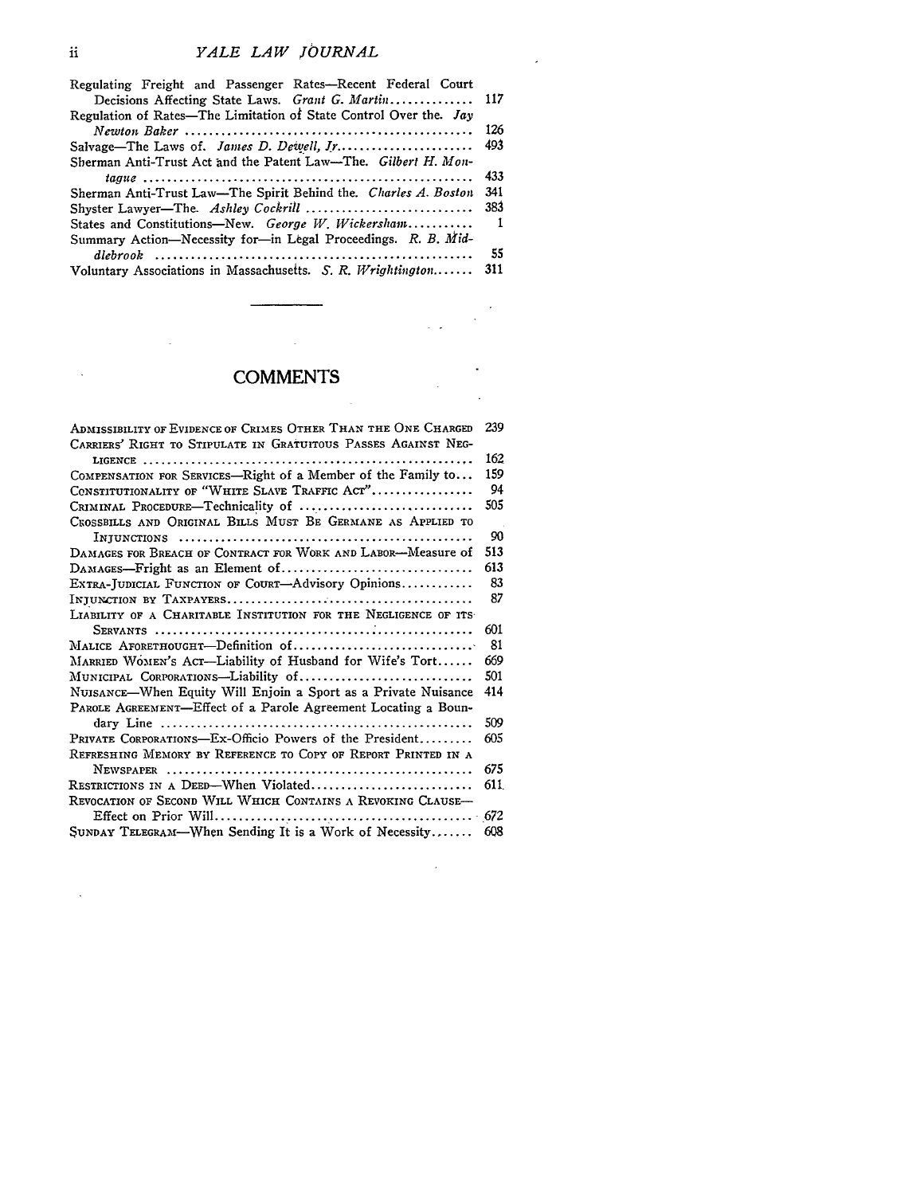$\overline{a}$ 

| Regulating Freight and Passenger Rates-Recent Federal Court       |                |
|-------------------------------------------------------------------|----------------|
| Decisions Affecting State Laws. Grant G. Martin 117               |                |
| Regulation of Rates—The Limitation of State Control Over the. Jay |                |
|                                                                   | 126            |
|                                                                   |                |
| Sherman Anti-Trust Act and the Patent Law-The. Gilbert H. Mon-    |                |
|                                                                   | 433            |
| Sherman Anti-Trust Law—The Spirit Behind the. Charles A. Boston   | 341            |
|                                                                   |                |
| States and Constitutions-New. George W. Wickersham                | $\blacksquare$ |
| Summary Action—Necessity for—in Legal Proceedings. R. B. Mid-     |                |
|                                                                   | -55            |
| Voluntary Associations in Massachusetts. $S. R. Wrighting to n$   | 311            |

#### **COMMENTS**

| ADMISSIBILITY OF EVIDENCE OF CRIMES OTHER THAN THE ONE CHARGED  | 239  |
|-----------------------------------------------------------------|------|
| CARRIERS' RIGHT TO STIPULATE IN GRATUITOUS PASSES AGAINST NEG-  |      |
|                                                                 | 162  |
| COMPENSATION FOR SERVICES—Right of a Member of the Family to    | 159  |
| CONSTITUTIONALITY OF "WHITE SLAVE TRAFFIC ACT"                  | 94   |
| CRIMINAL PROCEDURE-Technicality of                              | 505  |
| CROSSBILLS AND ORIGINAL BILLS MUST BE GERMANE AS APPLIED TO     |      |
|                                                                 | 90   |
| DAMAGES FOR BREACH OF CONTRACT FOR WORK AND LABOR-Measure of    | 513  |
|                                                                 | 613  |
| EXTRA-JUDICIAL FUNCTION OF COURT—Advisory Opinions              | 83   |
|                                                                 | 87   |
| LIABILITY OF A CHARITABLE INSTITUTION FOR THE NEGLIGENCE OF ITS |      |
|                                                                 | 601  |
| MALICE AFORETHOUGHT—Definition of                               | 81   |
| MARRIED WOMEN'S ACT-Liability of Husband for Wife's Tort        | 669  |
| MUNICIPAL CORPORATIONS—Liability of                             | 501  |
| NUISANCE—When Equity Will Enjoin a Sport as a Private Nuisance  | 414  |
| PAROLE AGREEMENT-Effect of a Parole Agreement Locating a Boun-  |      |
|                                                                 | 509  |
| Private Corporations—Ex-Officio Powers of the President         | 605  |
| REFRESHING MEMORY BY REFERENCE TO COPY OF REPORT PRINTED IN A   |      |
|                                                                 | 675  |
| $\texttt{ResTRICTIONS}$ in a Deed—When Violated                 | 611. |
| REVOCATION OF SECOND WILL WHICH CONTAINS A REVOKING CLAUSE—     |      |
|                                                                 |      |
| SUNDAY TELEGRAM—When Sending It is a Work of Necessity          | 608  |

 $\mathcal{L}$ 

 $\ddot{\phantom{a}}$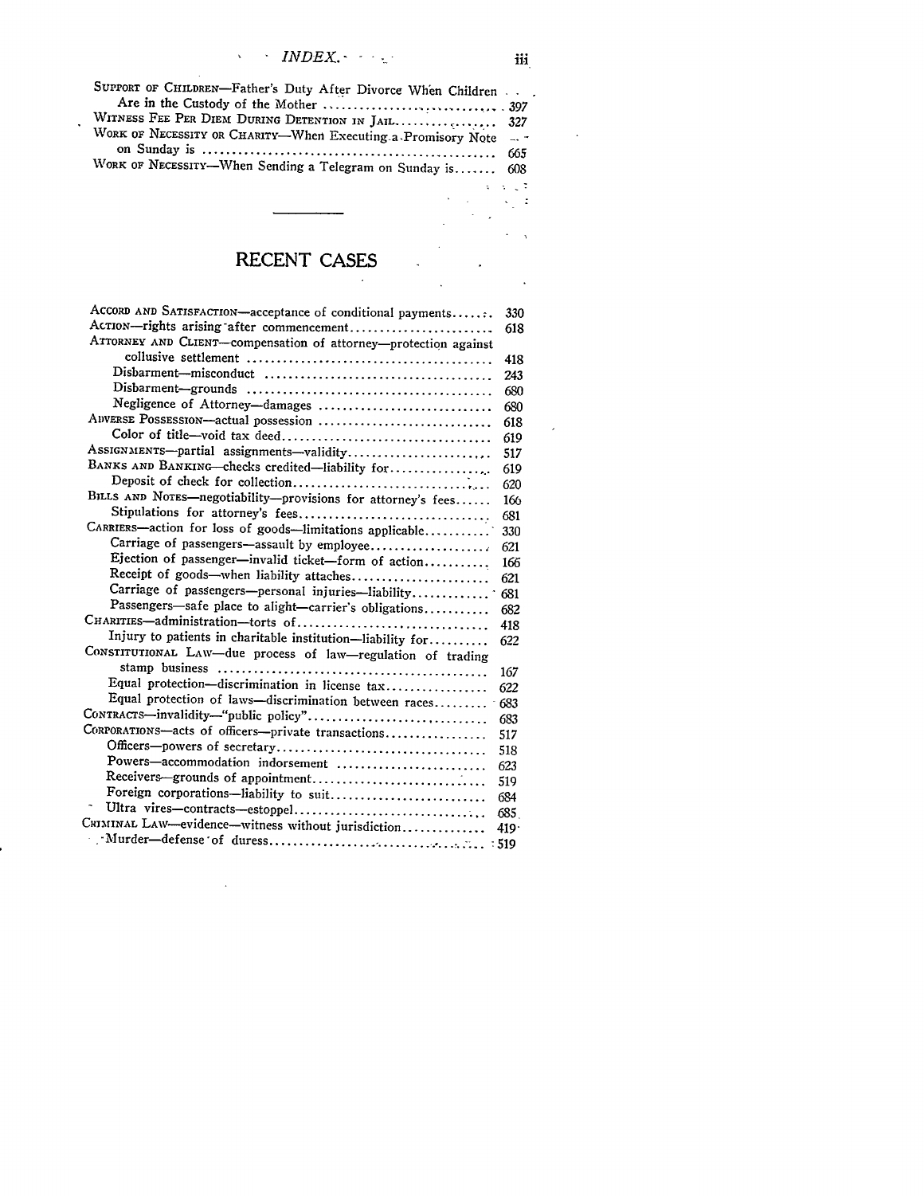| SUPPORT OF CHILDREN-Father's Duty After Divorce When Children. |            |
|----------------------------------------------------------------|------------|
|                                                                |            |
| WITNESS FEE PER DIEM DURING DETENTION IN JAIL 327              |            |
| WORK OF NECESSITY OR CHARITY-When Executing a Promisory Note   |            |
|                                                                |            |
| WORK OF NECESSITY-When Sending a Telegram on Sunday is 608     |            |
|                                                                | a cardo de |

 $\ddot{\phantom{a}}$ 

## **RECENT CASES**

 $\mathcal{L}_{\mathbf{a}}$ 

| ACCORD AND SATISFACTION-acceptance of conditional payments      | 330     |
|-----------------------------------------------------------------|---------|
| Acrion-rights arising after commencement                        | 618     |
| ATTORNEY AND CLIENT-compensation of attorney-protection against |         |
|                                                                 | 418     |
|                                                                 | 243     |
|                                                                 | 680     |
| Negligence of Attorney-damages                                  | 680     |
| ADVERSE POSSESSION-actual possession                            | 618     |
|                                                                 | 619     |
| Assignments-partial assignments-validity                        | 517     |
| BANKS AND BANKING-checks credited-liability for                 | 619     |
|                                                                 | 620     |
| BILLS AND NOTES-negotiability-provisions for attorney's fees    | 166     |
|                                                                 | 681     |
| CARRIERS-action for loss of goods-limitations applicable        | 330     |
|                                                                 | 621     |
| Ejection of passenger-invalid ticket-form of action             | 166     |
| Receipt of goods-when liability attaches                        | 621     |
| Carriage of passengers-personal injuries-liability              | 681     |
| Passengers-safe place to alight-carrier's obligations           | 682     |
| CHARITIES-administration-torts of                               | 418     |
| Injury to patients in charitable institution-liability for      | 622     |
| CONSTITUTIONAL LAW-due process of law-regulation of trading     |         |
|                                                                 | 167     |
| Equal protection-discrimination in license tax                  | 622     |
| Equal protection of laws-discrimination between races           | $-683$  |
|                                                                 | 683     |
| CORPORATIONS-acts of officers--private transactions             | 517     |
|                                                                 | 518     |
| Powers-accommodation indorsement                                | 623     |
| Receivers-grounds of appointment                                | 519     |
| Foreign corporations-liability to suit                          | 684     |
| Ultra vires-contracts-estoppel                                  | 685     |
| CRIMINAL LAW—evidence—witness without jurisdiction              | $419 -$ |
|                                                                 |         |
|                                                                 |         |

 $\bar{z}$ 

 $\frac{1}{2}$  .

 $\sim 10^7$ 

 $\ddot{\phantom{a}}$ 

 $\mathcal{A}^{\mathcal{A}}$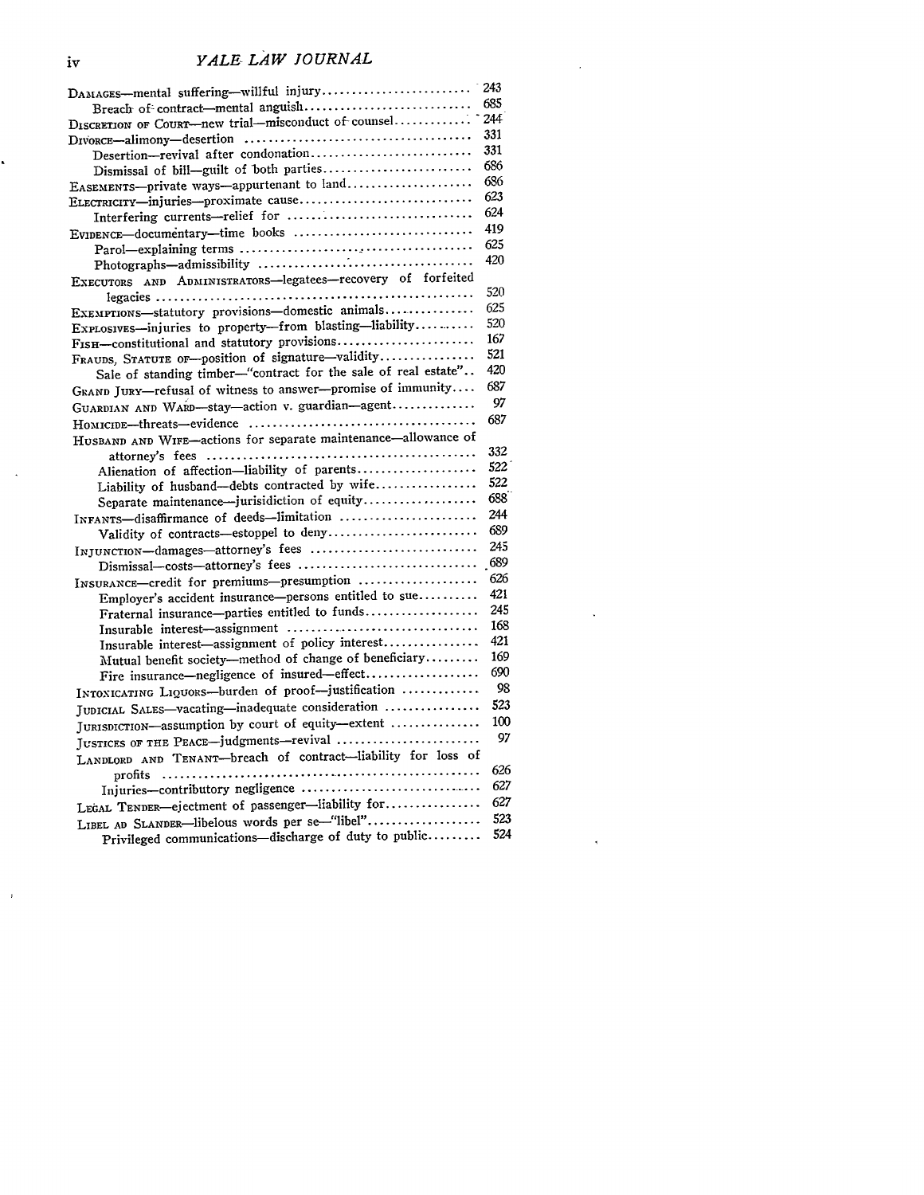### *YALE LAW JOURNAL*

| DAMAGES--mental suffering--willful injury                      | 243        |
|----------------------------------------------------------------|------------|
| Breach of contract-mental anguish                              | 685        |
| DISCRETION OF COURT-new trial-misconduct of counsel            | 244        |
|                                                                | 331        |
| Desertion-revival after condonation                            | 331        |
| Dismissal of bill-guilt of both parties                        | 686        |
| EASEMENTS-private ways-appurtenant to land                     | 686        |
| ELECTRICITY-injuries-proximate cause                           | 623        |
|                                                                | 624        |
| EVIDENCE-documentary-time books                                | 419        |
|                                                                | 625        |
|                                                                | 420        |
| EXECUTORS AND ADMINISTRATORS-legatees-recovery of forfeited    |            |
|                                                                | 520        |
| EXEMPTIONS-statutory provisions-domestic animals               | 625<br>520 |
| EXPLOSIVES-injuries to property-from blasting-liability        | 167        |
| FISH-constitutional and statutory provisions                   | 521        |
| FRAUDS, STATUTE OF-position of signature-validity              | 420        |
| Sale of standing timber-"contract for the sale of real estate" | 687        |
| GRAND JURY-refusal of witness to answer-promise of immunity    | 97         |
| GUARDIAN AND WARD-stay-action v. guardian-agent                | 687        |
|                                                                |            |
| HUSBAND AND WIFE-actions for separate maintenance-allowance of |            |
|                                                                | 332<br>522 |
| Alienation of affection-liability of parents                   |            |
| Liability of husband-debts contracted by wife                  | 522<br>688 |
| Separate maintenance-jurisidiction of equity                   | 244        |
| INFANTS-disaffirmance of deeds-limitation                      | 689        |
| Validity of contracts-estoppel to deny                         | 245        |
| INJUNCTION-damages-attorney's fees                             | .689       |
| Dismissal-costs-attorney's fees                                | 626        |
| INSURANCE-credit for premiums-presumption                      | 421        |
| Employer's accident insurance-persons entitled to sue          | 245        |
| Fraternal insurance-parties entitled to funds                  | 168        |
| Insurable interest-assignment                                  | 421        |
| Insurable interest-assignment of policy interest               | 169        |
| Mutual benefit society-method of change of beneficiary         | 690        |
| Fire insurance-negligence of insured-effect                    | 98         |
| INTOXICATING LIQUORS-burden of proof-justification             | 523        |
| JUDICIAL SALES-vacating-inadequate consideration               |            |
| JURISDICTION-assumption by court of equity-extent              | 100<br>97  |
| JUSTICES OF THE PEACE-judgments-revival                        |            |
| LANDLORD AND TENANT-breach of contract-liability for loss of   |            |
|                                                                | 626        |
| Injuries-contributory negligence                               | 627        |
| LEGAL TENDER-ejectment of passenger-liability for              | 627        |
| LIBEL AD SLANDER-libelous words per se-"libel"                 | 523        |
| Privileged communications-discharge of duty to public          | 524        |

 $\hat{\mathbf{r}}$ 

Ĺ

 $\ddot{\phantom{a}}$ 

 $\bar{r}$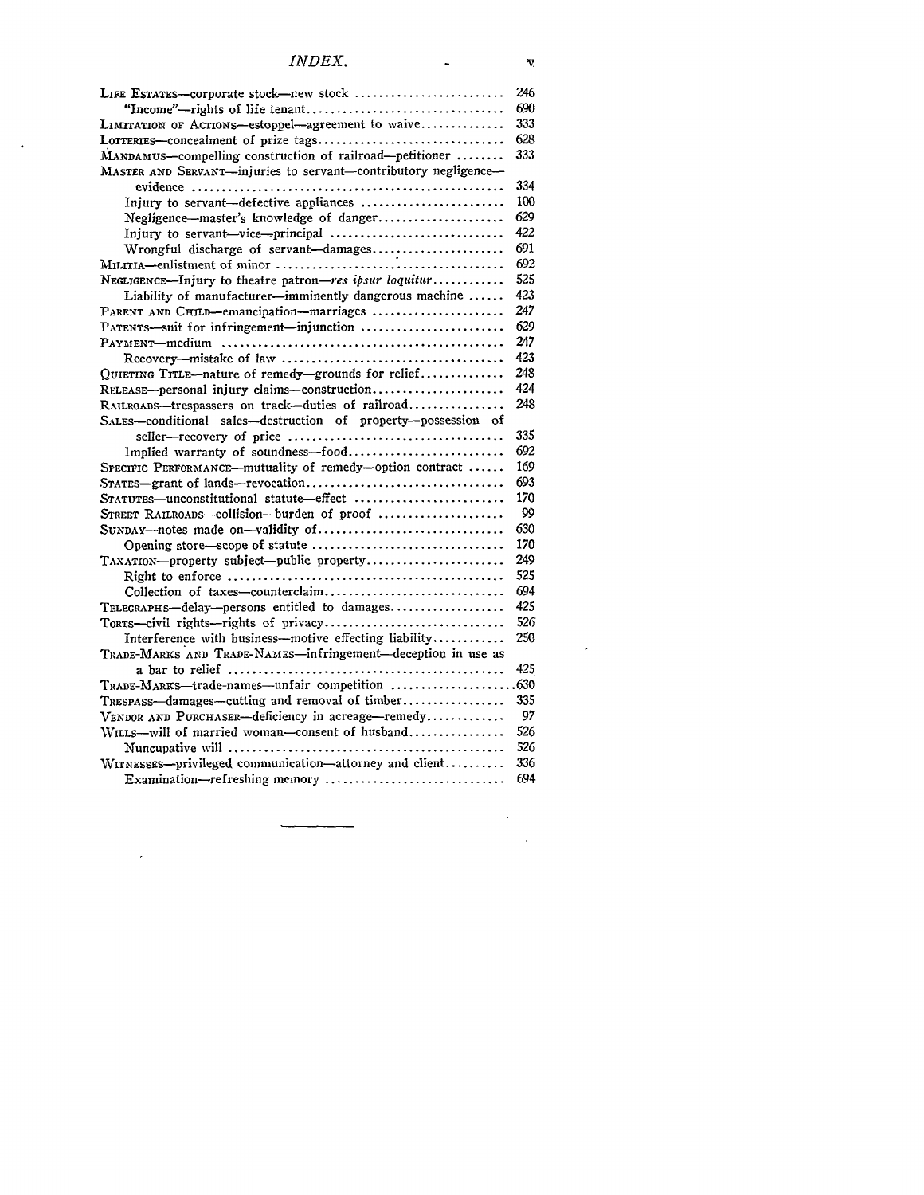#### *INDEX.*

 $\sim$   $\sim$ 

 $\mathcal{L}^{\text{max}}_{\text{max}}$ 

 $\blacksquare$ 

| LIFE ESTATES--corporate stock-new stock                         | 246 |
|-----------------------------------------------------------------|-----|
|                                                                 | 690 |
| LIMITATION OF ACTIONS-estoppel-agreement to waive               | 333 |
|                                                                 | 628 |
| MANDAMUS-compelling construction of railroad-petitioner         | 333 |
| MASTER AND SERVANT-injuries to servant-contributory negligence- |     |
|                                                                 | 334 |
| Injury to servant—defective appliances                          | 100 |
| Negligence-master's knowledge of danger                         | 629 |
| Injury to servant-vice-principal                                | 422 |
| Wrongful discharge of servant-damages                           | 691 |
|                                                                 | 692 |
| NEGLIGENCE--Injury to theatre patron-res ipsur loquitur         | 525 |
| Liability of manufacturer-imminently dangerous machine          | 423 |
| PARENT AND CHILD-emancipation-marriages                         | 247 |
| PATENTS-suit for infringement-injunction                        | 629 |
|                                                                 | 247 |
|                                                                 | 423 |
| QUIETING TITLE-nature of remedy-grounds for relief              | 248 |
| RELEASE-personal injury claims-construction                     | 424 |
| RAILROADS-trespassers on track-duties of railroad               | 248 |
| SALES-conditional sales-destruction of property-possession of   |     |
|                                                                 | 335 |
| Implied warranty of soundness-food                              | 692 |
| SPECIFIC PERFORMANCE-mutuality of remedy-option contract        | 169 |
| STATES-grant of lands-revocation                                | 693 |
| STATUTES-unconstitutional statute-effect                        | 170 |
| STREET RAILROADS-collision-burden of proof                      | 99  |
| SUNDAY-notes made on-validity of                                | 630 |
|                                                                 | 170 |
| TAXATION-property subject-public property                       | 249 |
|                                                                 | 525 |
| Collection of taxes-counterclaim                                | 694 |
| TELEGRAPHS-delay-persons entitled to damages                    | 425 |
| TORTS-civil rights-rights of privacy                            | 526 |
| Interference with business-motive effecting liability           | 250 |
| TRADE-MARKS AND TRADE-NAMES-infringement-deception in use as    |     |
|                                                                 | 425 |
|                                                                 |     |
| TRESPASS-damages-cutting and removal of timber                  | 335 |
| VENDOR AND PURCHASER-deficiency in acreage-remedy               | 97  |
| WILLS-will of married woman-consent of husband                  | 526 |
|                                                                 | 526 |
| WITNESSES-privileged communication-attorney and client          | 336 |
| Examination-refreshing memory                                   | 694 |
|                                                                 |     |